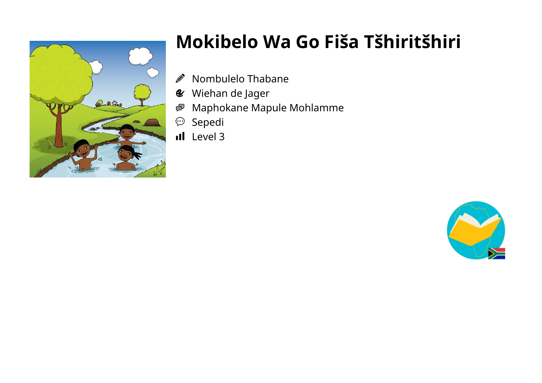

## Mokibelo Wa Go Fiša Tšhiritšhiri

- $\bigotimes$ Nombulelo Thabane
- **&** Wiehan de Jager
- Maphokane Mapule Mohlamme 粵
- Sepedi  $\bigodot$
- il Level 3

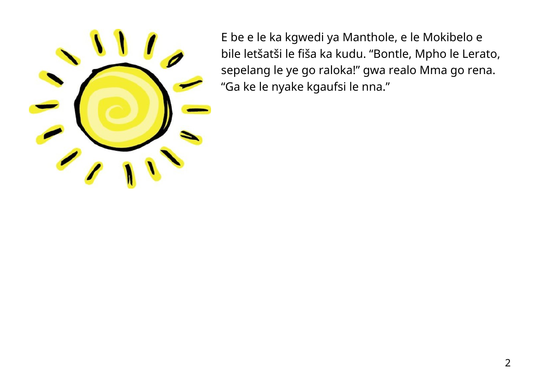

E be e le ka kgwedi ya Manthole, e le Mokibelo e bile letšatši le fiša ka kudu. "Bontle, Mpho le Lerato, sepelang le ye go raloka!" gwa realo Mma go rena. "Ga ke le nyake kgaufsi le nna."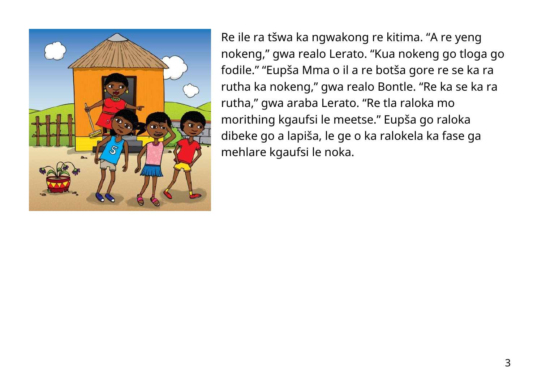

Re ile ra tšwa ka ngwakong re kitima. "A re yeng nokeng," gwa realo Lerato. "Kua nokeng go tloga go fodile." "Eupša Mma o il a re botša gore re se ka ra rutha ka nokeng," gwa realo Bontle. "Re ka se ka ra rutha," gwa araba Lerato. "Re tla raloka mo morithing kgaufsi le meetse." Eupša go raloka dibeke go a lapiša, le ge o ka ralokela ka fase ga mehlare kgaufsi le noka.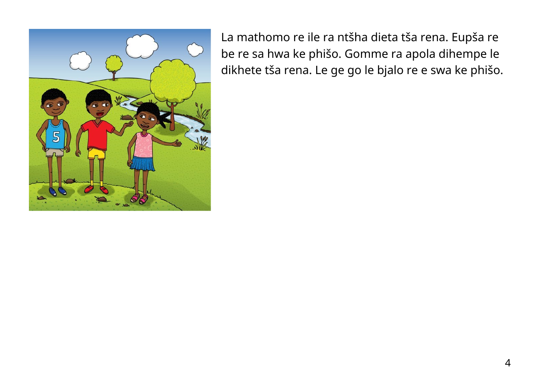

La mathomo re ile ra ntšha dieta tša rena. Eupša re be re sa hwa ke phišo. Gomme ra apola dihempe le dikhete tša rena. Le ge go le bjalo re e swa ke phišo.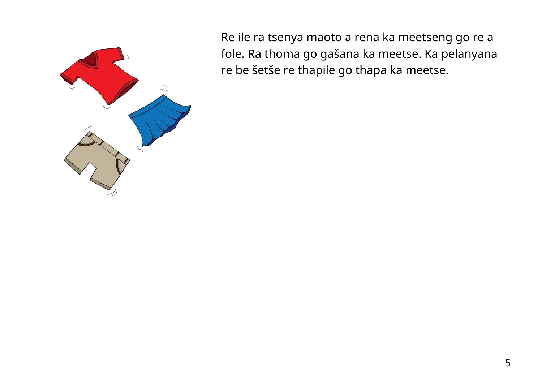

Re ile ra tsenya maoto a rena ka meetseng go re a fole. Ra thoma go gašana ka meetse. Ka pelanyana re be šetše re thapile go thapa ka meetse.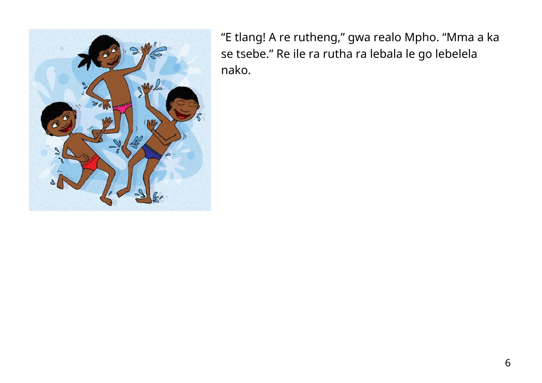

"E tlang! A re rutheng," gwa realo Mpho. "Mma a ka se tsebe." Re ile ra rutha ra lebala le go lebelela nako.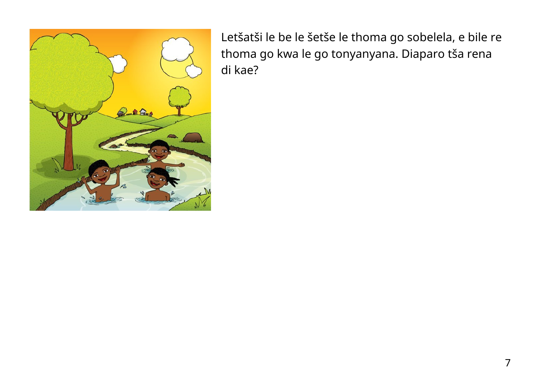

Letšatši le be le šetše le thoma go sobelela, e bile re thoma go kwa le go tonyanyana. Diaparo tša rena di kae?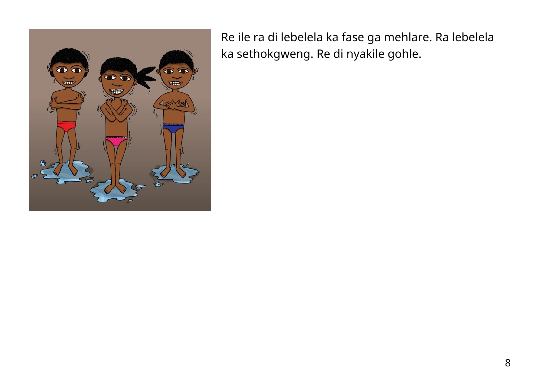

Re ile ra di lebelela ka fase ga mehlare. Ra lebelela ka sethokgweng. Re di nyakile gohle.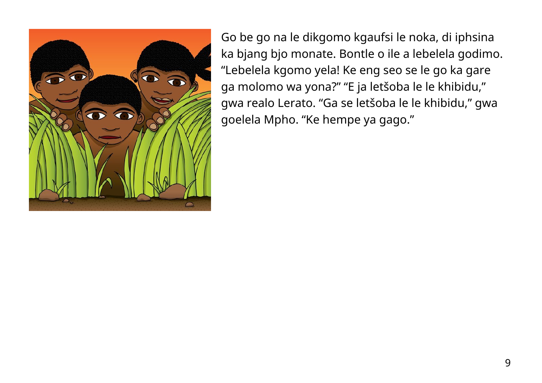

Go be go na le dikgomo kgaufsi le noka, di iphsina ka bjang bjo monate. Bontle o ile a lebelela godimo. "Lebelela kgomo yela! Ke eng seo se le go ka gare ga molomo wa yona?" "E ja letšoba le le khibidu," gwa realo Lerato. "Ga se letšoba le le khibidu," gwa goelela Mpho. "Ke hempe ya gago."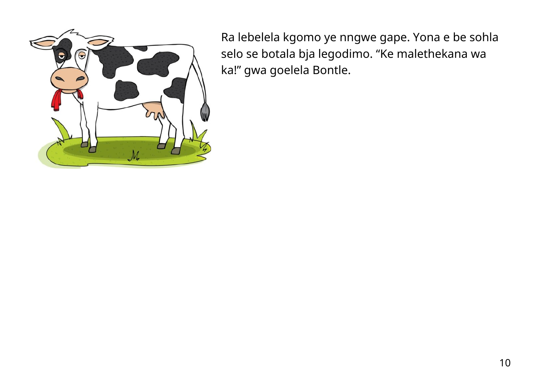

Ra lebelela kgomo ye nngwe gape. Yona e be sohla selo se botala bja legodimo. "Ke malethekana wa ka!" gwa goelela Bontle.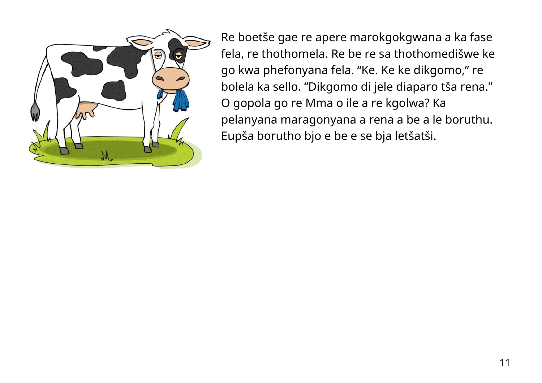

Re boetše gae re apere marokgokgwana a ka fase fela, re thothomela. Re be re sa thothomedišwe ke go kwa phefonyana fela. "Ke. Ke ke dikgomo," re bolela ka sello. "Dikgomo di jele diaparo tša rena." O gopola go re Mma o ile a re kgolwa? Ka pelanyana maragonyana a rena a be a le boruthu. Eupša borutho bjo e be e se bja letšatši.